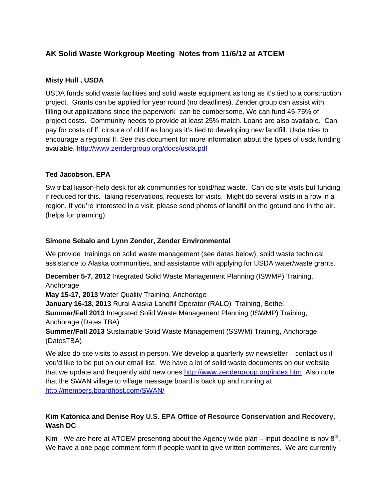# **AK Solid Waste Workgroup Meeting Notes from 11/6/12 at ATCEM**

## **Misty Hull , USDA**

USDA funds solid waste facilities and solid waste equipment as long as it's tied to a construction project. Grants can be applied for year round (no deadlines). Zender group can assist with filling out applications since the paperwork can be cumbersome. We can fund 45-75% of project costs. Community needs to provide at least 25% match. Loans are also available. Can pay for costs of lf closure of old lf as long as it's tied to developing new landfill. Usda tries to encourage a regional lf. See this document for more information about the types of usda funding available. http://www.zendergroup.org/docs/usda.pdf

## **Ted Jacobson, EPA**

Sw tribal liaison-help desk for ak communities for solid/haz waste. Can do site visits but funding if reduced for this. taking reservations, requests for visits. Might do several visits in a row in a region. If you're interested in a visit, please send photos of landfill on the ground and in the air. (helps for planning)

## **Simone Sebalo and Lynn Zender, Zender Environmental**

We provide trainings on solid waste management (see dates below), solid waste technical assistance to Alaska communities, and assistance with applying for USDA water/waste grants.

**December 5-7, 2012** Integrated Solid Waste Management Planning (ISWMP) Training, Anchorage

**May 15-17, 2013** Water Quality Training, Anchorage

**January 16-18, 2013** Rural Alaska Landfill Operator (RALO) Training, Bethel **Summer/Fall 2013** Integrated Solid Waste Management Planning (ISWMP) Training, Anchorage (Dates TBA)

**Summer/Fall 2013** Sustainable Solid Waste Management (SSWM) Training, Anchorage (DatesTBA)

We also do site visits to assist in person. We develop a quarterly sw newsletter – contact us if you'd like to be put on our email list. We have a lot of solid waste documents on our website that we update and frequently add new ones http://www.zendergroup.org/index.htm Also note that the SWAN village to village message board is back up and running at http://members.boardhost.com/SWAN/

# **Kim Katonica and Denise Roy U.S. EPA Office of Resource Conservation and Recovery, Wash DC**

Kim - We are here at ATCEM presenting about the Agency wide plan – input deadline is nov  $8<sup>th</sup>$ . We have a one page comment form if people want to give written comments. We are currently